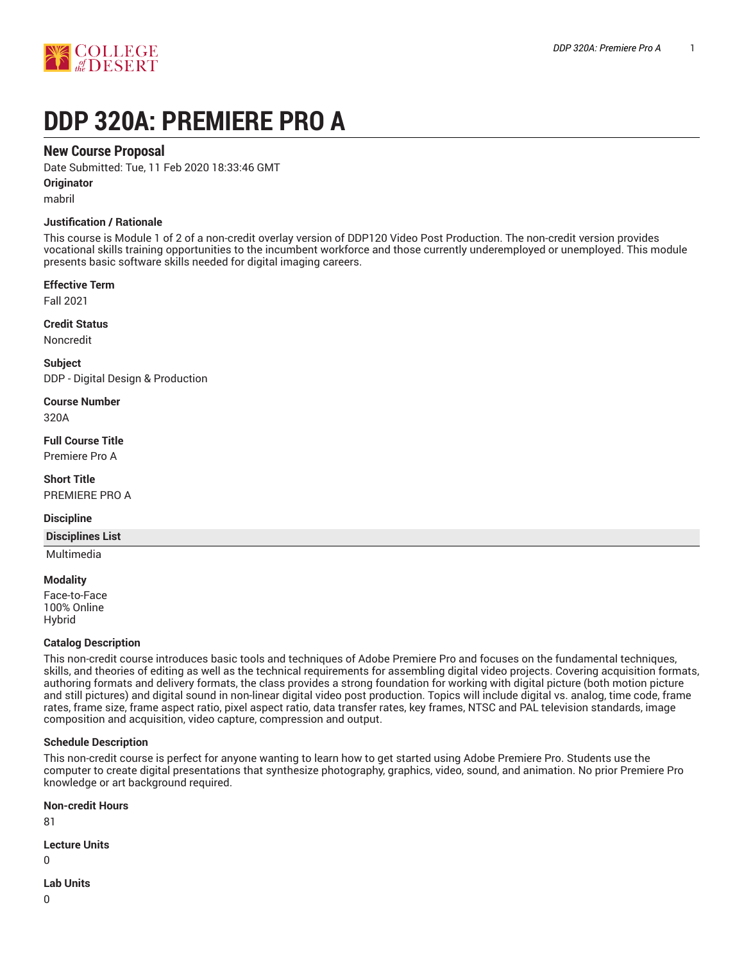

# **DDP 320A: PREMIERE PRO A**

# **New Course Proposal**

Date Submitted: Tue, 11 Feb 2020 18:33:46 GMT

**Originator**

mabril

#### **Justification / Rationale**

This course is Module 1 of 2 of a non-credit overlay version of DDP120 Video Post Production. The non-credit version provides vocational skills training opportunities to the incumbent workforce and those currently underemployed or unemployed. This module presents basic software skills needed for digital imaging careers.

#### **Effective Term**

Fall 2021

**Credit Status**

Noncredit

**Subject** DDP - Digital Design & Production

**Course Number**

320A

**Full Course Title** Premiere Pro A

**Short Title** PREMIERE PRO A

#### **Discipline**

**Disciplines List**

Multimedia

#### **Modality**

Face-to-Face 100% Online Hybrid

#### **Catalog Description**

This non-credit course introduces basic tools and techniques of Adobe Premiere Pro and focuses on the fundamental techniques, skills, and theories of editing as well as the technical requirements for assembling digital video projects. Covering acquisition formats, authoring formats and delivery formats, the class provides a strong foundation for working with digital picture (both motion picture and still pictures) and digital sound in non-linear digital video post production. Topics will include digital vs. analog, time code, frame rates, frame size, frame aspect ratio, pixel aspect ratio, data transfer rates, key frames, NTSC and PAL television standards, image composition and acquisition, video capture, compression and output.

#### **Schedule Description**

This non-credit course is perfect for anyone wanting to learn how to get started using Adobe Premiere Pro. Students use the computer to create digital presentations that synthesize photography, graphics, video, sound, and animation. No prior Premiere Pro knowledge or art background required.

**Non-credit Hours**

81

**Lecture Units**

 $\Omega$ 

**Lab Units**

 $\Omega$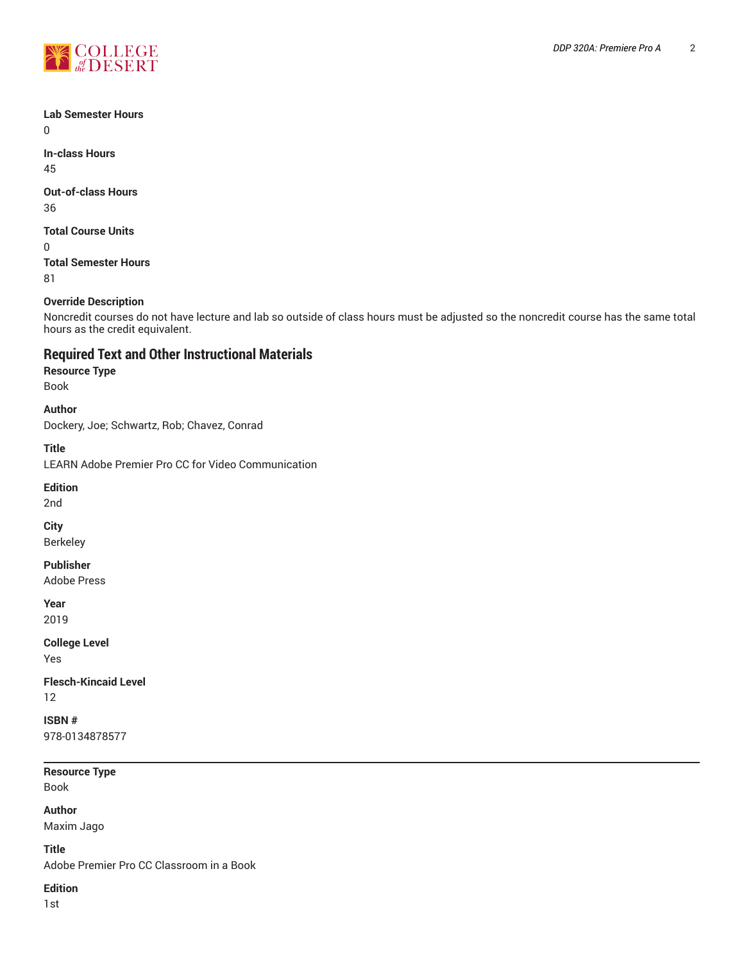

#### **Lab Semester Hours**

 $\Omega$ 

**In-class Hours** 45

# **Out-of-class Hours**

36

## **Total Course Units**

0 **Total Semester Hours**

81

# **Override Description**

Noncredit courses do not have lecture and lab so outside of class hours must be adjusted so the noncredit course has the same total hours as the credit equivalent.

# **Required Text and Other Instructional Materials**

#### **Resource Type**

Book

#### **Author**

Dockery, Joe; Schwartz, Rob; Chavez, Conrad

**Title**

LEARN Adobe Premier Pro CC for Video Communication

#### **Edition**

2nd

#### **City**

Berkeley

#### **Publisher**

Adobe Press

# **Year**

2019

# **College Level**

Yes

#### **Flesch-Kincaid Level** 12

# **ISBN #**

978-0134878577

# **Resource Type**

Book

# **Author**

Maxim Jago

**Title**

Adobe Premier Pro CC Classroom in a Book

# **Edition**

1st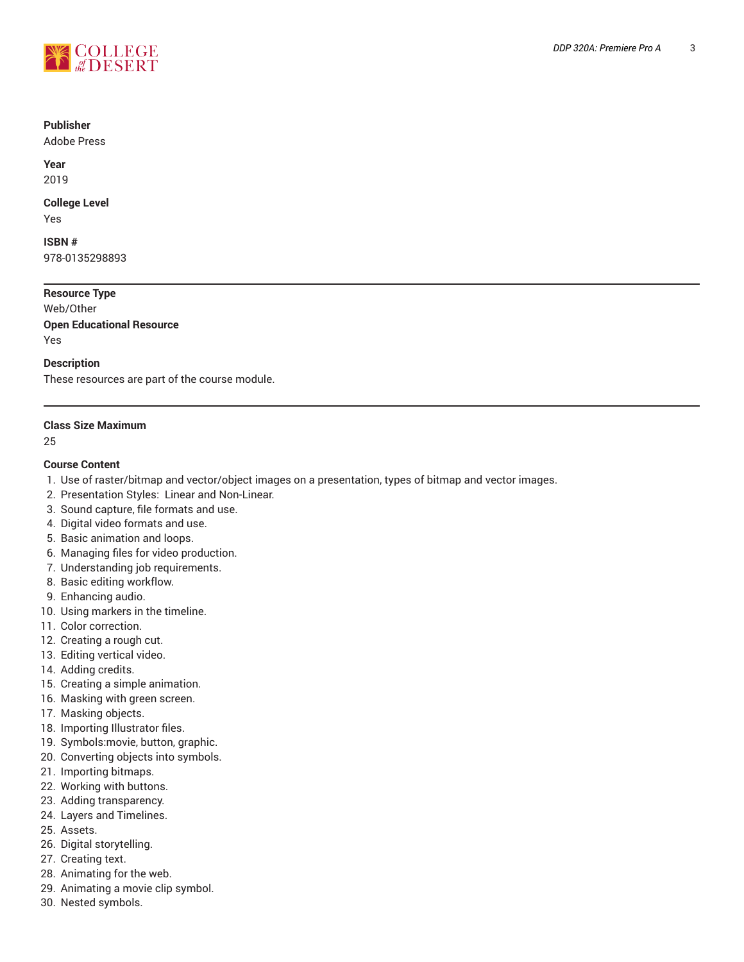

#### **Publisher**

Adobe Press

**Year** 2019

#### **College Level**

Yes

**ISBN #** 978-0135298893

## **Resource Type**

Web/Other **Open Educational Resource**

Yes

#### **Description**

These resources are part of the course module.

#### **Class Size Maximum**

25

#### **Course Content**

- 1. Use of raster/bitmap and vector/object images on a presentation, types of bitmap and vector images.
- 2. Presentation Styles: Linear and Non-Linear.
- 3. Sound capture, file formats and use.
- 4. Digital video formats and use.
- 5. Basic animation and loops.
- 6. Managing files for video production.
- 7. Understanding job requirements.
- 8. Basic editing workflow.
- 9. Enhancing audio.
- 10. Using markers in the timeline.
- 11. Color correction.
- 12. Creating a rough cut.
- 13. Editing vertical video.
- 14. Adding credits.
- 15. Creating a simple animation.
- 16. Masking with green screen.
- 17. Masking objects.
- 18. Importing Illustrator files.
- 19. Symbols:movie, button, graphic.
- 20. Converting objects into symbols.
- 21. Importing bitmaps.
- 22. Working with buttons.
- 23. Adding transparency.
- 24. Layers and Timelines.
- 25. Assets.
- 26. Digital storytelling.
- 27. Creating text.
- 28. Animating for the web.
- 29. Animating a movie clip symbol.
- 30. Nested symbols.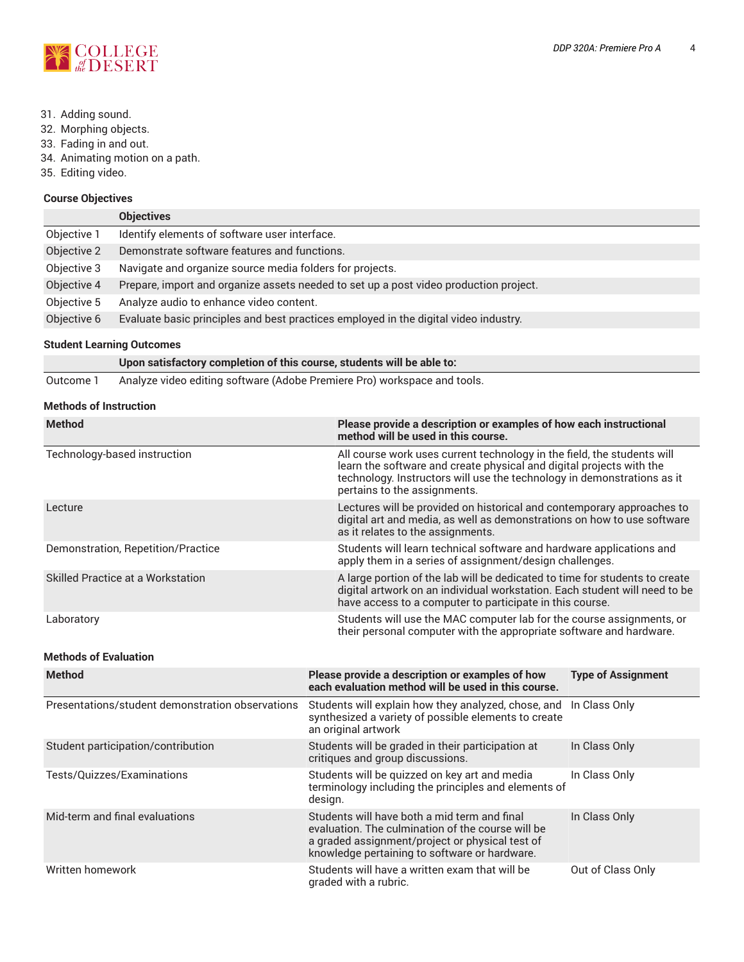

- 31. Adding sound.
- 32. Morphing objects.
- 33. Fading in and out.
- 34. Animating motion on a path.
- 35. Editing video.

#### **Course Objectives**

|             | <b>Objectives</b>                                                                     |
|-------------|---------------------------------------------------------------------------------------|
| Objective 1 | Identify elements of software user interface.                                         |
| Objective 2 | Demonstrate software features and functions.                                          |
| Objective 3 | Navigate and organize source media folders for projects.                              |
| Objective 4 | Prepare, import and organize assets needed to set up a post video production project. |
| Objective 5 | Analyze audio to enhance video content.                                               |
| Objective 6 | Evaluate basic principles and best practices employed in the digital video industry.  |

#### **Student Learning Outcomes**

| Upon satisfactory completion of this course, students will be able to: |  |
|------------------------------------------------------------------------|--|
|------------------------------------------------------------------------|--|

Outcome 1 Analyze video editing software (Adobe Premiere Pro) workspace and tools.

#### **Methods of Instruction**

| <b>Method</b>                      | Please provide a description or examples of how each instructional<br>method will be used in this course.                                                                                                                                                  |  |  |
|------------------------------------|------------------------------------------------------------------------------------------------------------------------------------------------------------------------------------------------------------------------------------------------------------|--|--|
| Technology-based instruction       | All course work uses current technology in the field, the students will<br>learn the software and create physical and digital projects with the<br>technology. Instructors will use the technology in demonstrations as it<br>pertains to the assignments. |  |  |
| Lecture                            | Lectures will be provided on historical and contemporary approaches to<br>digital art and media, as well as demonstrations on how to use software<br>as it relates to the assignments.                                                                     |  |  |
| Demonstration, Repetition/Practice | Students will learn technical software and hardware applications and<br>apply them in a series of assignment/design challenges.                                                                                                                            |  |  |
| Skilled Practice at a Workstation  | A large portion of the lab will be dedicated to time for students to create<br>digital artwork on an individual workstation. Each student will need to be<br>have access to a computer to participate in this course.                                      |  |  |
| Laboratory                         | Students will use the MAC computer lab for the course assignments, or<br>their personal computer with the appropriate software and hardware.                                                                                                               |  |  |
| <b>Methods of Evaluation</b>       |                                                                                                                                                                                                                                                            |  |  |
| <b>Method</b>                      | Please provide a description or examples of how<br><b>Type of Assignment</b><br>each evaluation method will be used in this course.                                                                                                                        |  |  |

| Presentations/student demonstration observations | Students will explain how they analyzed, chose, and In Class Only<br>synthesized a variety of possible elements to create<br>an original artwork                                                      |                   |
|--------------------------------------------------|-------------------------------------------------------------------------------------------------------------------------------------------------------------------------------------------------------|-------------------|
| Student participation/contribution               | Students will be graded in their participation at<br>critiques and group discussions.                                                                                                                 | In Class Only     |
| Tests/Quizzes/Examinations                       | Students will be quizzed on key art and media<br>terminology including the principles and elements of<br>design.                                                                                      | In Class Only     |
| Mid-term and final evaluations                   | Students will have both a mid term and final<br>evaluation. The culmination of the course will be<br>a graded assignment/project or physical test of<br>knowledge pertaining to software or hardware. | In Class Only     |
| Written homework                                 | Students will have a written exam that will be<br>graded with a rubric.                                                                                                                               | Out of Class Only |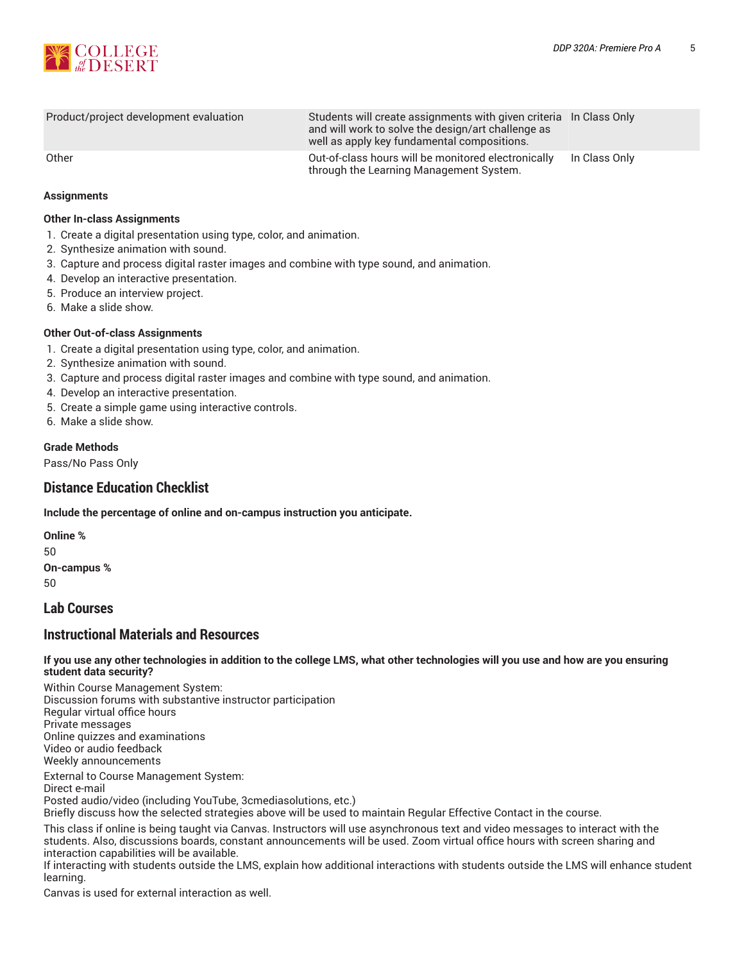



| Product/project development evaluation | Students will create assignments with given criteria In Class Only<br>and will work to solve the design/art challenge as<br>well as apply key fundamental compositions. |               |
|----------------------------------------|-------------------------------------------------------------------------------------------------------------------------------------------------------------------------|---------------|
| Other                                  | Out-of-class hours will be monitored electronically<br>through the Learning Management System.                                                                          | In Class Only |

#### **Assignments**

#### **Other In-class Assignments**

- 1. Create a digital presentation using type, color, and animation.
- 2. Synthesize animation with sound.
- 3. Capture and process digital raster images and combine with type sound, and animation.
- 4. Develop an interactive presentation.
- 5. Produce an interview project.
- 6. Make a slide show.

#### **Other Out-of-class Assignments**

- 1. Create a digital presentation using type, color, and animation.
- 2. Synthesize animation with sound.
- 3. Capture and process digital raster images and combine with type sound, and animation.
- 4. Develop an interactive presentation.
- 5. Create a simple game using interactive controls.
- 6. Make a slide show.

#### **Grade Methods**

Pass/No Pass Only

# **Distance Education Checklist**

**Include the percentage of online and on-campus instruction you anticipate.**

**Online %** 50 **On-campus %** 50

# **Lab Courses**

# **Instructional Materials and Resources**

If you use any other technologies in addition to the college LMS, what other technologies will you use and how are you ensuring **student data security?**

Within Course Management System: Discussion forums with substantive instructor participation Regular virtual office hours Private messages Online quizzes and examinations Video or audio feedback Weekly announcements External to Course Management System:

Direct e-mail Posted audio/video (including YouTube, 3cmediasolutions, etc.)

Briefly discuss how the selected strategies above will be used to maintain Regular Effective Contact in the course.

This class if online is being taught via Canvas. Instructors will use asynchronous text and video messages to interact with the students. Also, discussions boards, constant announcements will be used. Zoom virtual office hours with screen sharing and interaction capabilities will be available.

If interacting with students outside the LMS, explain how additional interactions with students outside the LMS will enhance student learning.

Canvas is used for external interaction as well.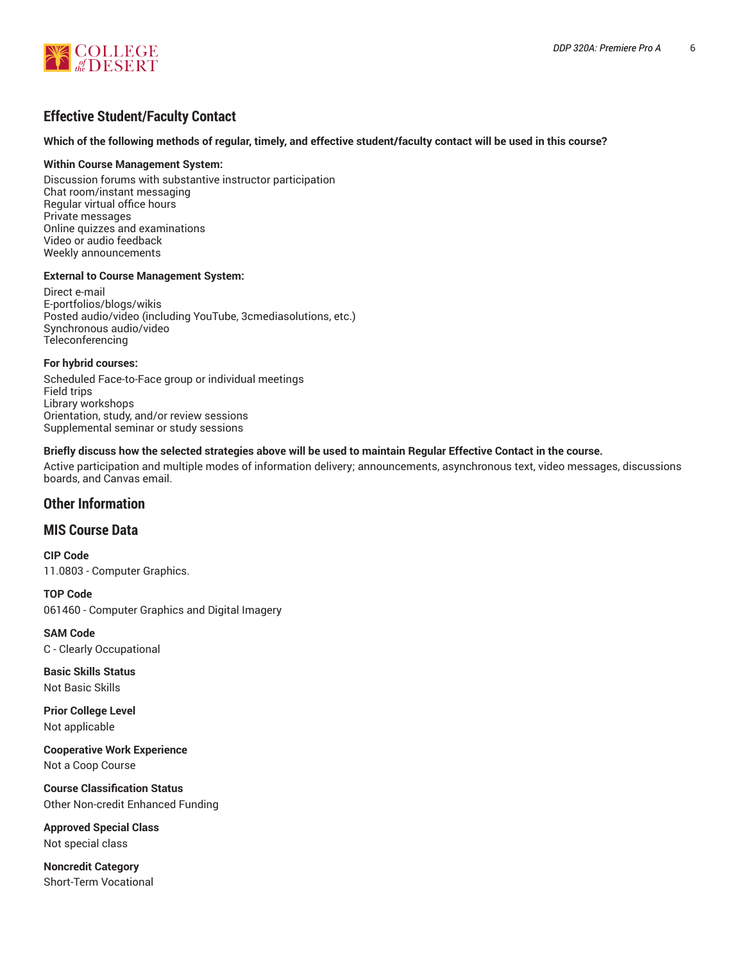

# **Effective Student/Faculty Contact**

#### Which of the following methods of regular, timely, and effective student/faculty contact will be used in this course?

#### **Within Course Management System:**

Discussion forums with substantive instructor participation Chat room/instant messaging Regular virtual office hours Private messages Online quizzes and examinations Video or audio feedback Weekly announcements

#### **External to Course Management System:**

Direct e-mail E-portfolios/blogs/wikis Posted audio/video (including YouTube, 3cmediasolutions, etc.) Synchronous audio/video **Teleconferencing** 

#### **For hybrid courses:**

Scheduled Face-to-Face group or individual meetings Field trips Library workshops Orientation, study, and/or review sessions Supplemental seminar or study sessions

#### Briefly discuss how the selected strategies above will be used to maintain Regular Effective Contact in the course.

Active participation and multiple modes of information delivery; announcements, asynchronous text, video messages, discussions boards, and Canvas email.

# **Other Information**

#### **MIS Course Data**

**CIP Code** 11.0803 - Computer Graphics.

**TOP Code** 061460 - Computer Graphics and Digital Imagery

**SAM Code** C - Clearly Occupational

**Basic Skills Status** Not Basic Skills

**Prior College Level** Not applicable

**Cooperative Work Experience** Not a Coop Course

**Course Classification Status** Other Non-credit Enhanced Funding

**Approved Special Class** Not special class

**Noncredit Category** Short-Term Vocational